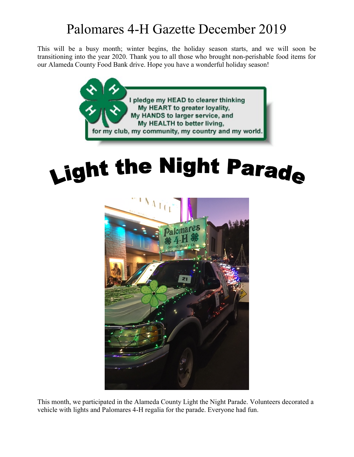## Palomares 4-H Gazette December 2019

This will be a busy month; winter begins, the holiday season starts, and we will soon be transitioning into the year 2020. Thank you to all those who brought non-perishable food items for our Alameda County Food Bank drive. Hope you have a wonderful holiday season!



## Light the Night Parade



This month, we participated in the Alameda County Light the Night Parade. Volunteers decorated a vehicle with lights and Palomares 4-H regalia for the parade. Everyone had fun.